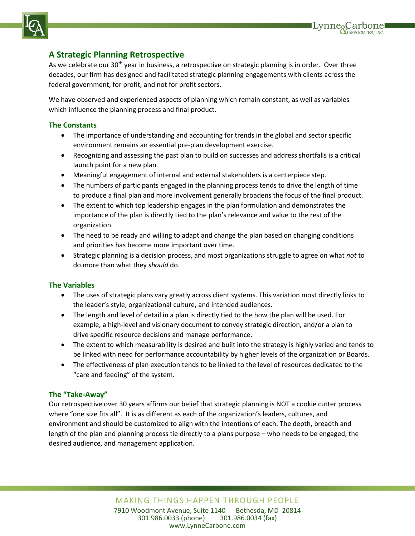

# **A Strategic Planning Retrospective**

As we celebrate our 30<sup>th</sup> year in business, a retrospective on strategic planning is in order. Over three decades, our firm has designed and facilitated strategic planning engagements with clients across the federal government, for profit, and not for profit sectors.

Lynne<sub>o</sub>Carbone

We have observed and experienced aspects of planning which remain constant, as well as variables which influence the planning process and final product.

#### **The Constants**

- The importance of understanding and accounting for trends in the global and sector specific environment remains an essential pre-plan development exercise.
- Recognizing and assessing the past plan to build on successes and address shortfalls is a critical launch point for a new plan.
- Meaningful engagement of internal and external stakeholders is a centerpiece step.
- The numbers of participants engaged in the planning process tends to drive the length of time to produce a final plan and more involvement generally broadens the focus of the final product.
- The extent to which top leadership engages in the plan formulation and demonstrates the importance of the plan is directly tied to the plan's relevance and value to the rest of the organization.
- The need to be ready and willing to adapt and change the plan based on changing conditions and priorities has become more important over time.
- Strategic planning is a decision process, and most organizations struggle to agree on what *not* to do more than what they *should* do.

#### **The Variables**

- The uses of strategic plans vary greatly across client systems. This variation most directly links to the leader's style, organizational culture, and intended audiences.
- The length and level of detail in a plan is directly tied to the how the plan will be used. For example, a high-level and visionary document to convey strategic direction, and/or a plan to drive specific resource decisions and manage performance.
- The extent to which measurability is desired and built into the strategy is highly varied and tends to be linked with need for performance accountability by higher levels of the organization or Boards.
- The effectiveness of plan execution tends to be linked to the level of resources dedicated to the "care and feeding" of the system.

#### **The "Take-Away"**

Our retrospective over 30 years affirms our belief that strategic planning is NOT a cookie cutter process where "one size fits all". It is as different as each of the organization's leaders, cultures, and environment and should be customized to align with the intentions of each. The depth, breadth and length of the plan and planning process tie directly to a plans purpose – who needs to be engaged, the desired audience, and management application.